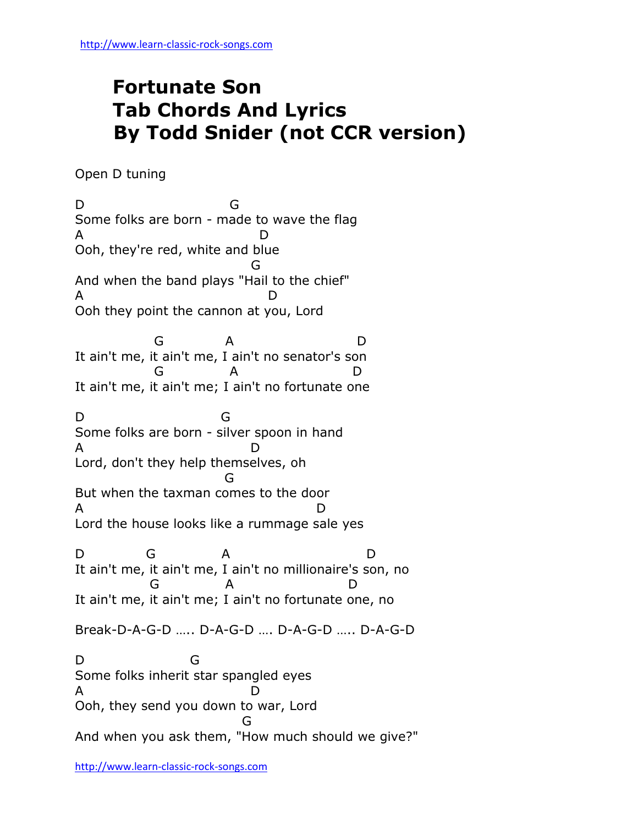## **Fortunate Son Tab Chords And Lyrics By Todd Snider (not CCR version)**

Open D tuning

D G Some folks are born - made to wave the flag A D Ooh, they're red, white and blue **Graduate Contract Contract Contract Contract Contract Contract Contract Contract Contract Contract Contract C** And when the band plays "Hail to the chief" A D Ooh they point the cannon at you, Lord G A D It ain't me, it ain't me, I ain't no senator's son G A D It ain't me, it ain't me; I ain't no fortunate one D G Some folks are born - silver spoon in hand A D Lord, don't they help themselves, oh **Grand Control** Grand Control Grand Control Control Control Control Control Control Control Control Control Control Control Control Control Control Control Control Control Control Control Control Control Control Control Co But when the taxman comes to the door A D Lord the house looks like a rummage sale yes D G A D It ain't me, it ain't me, I ain't no millionaire's son, no G A D It ain't me, it ain't me; I ain't no fortunate one, no Break-D-A-G-D ….. D-A-G-D …. D-A-G-D ….. D-A-G-D D G Some folks inherit star spangled eyes A D Ooh, they send you down to war, Lord **Graduate Contract Contract Contract Contract Contract Contract Contract Contract Contract Contract Contract C** And when you ask them, "How much should we give?"